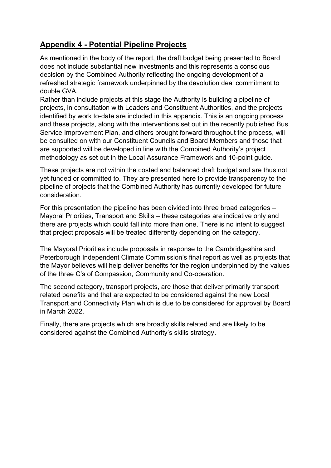## **Appendix 4 - Potential Pipeline Projects**

As mentioned in the body of the report, the draft budget being presented to Board does not include substantial new investments and this represents a conscious decision by the Combined Authority reflecting the ongoing development of a refreshed strategic framework underpinned by the devolution deal commitment to double GVA.

Rather than include projects at this stage the Authority is building a pipeline of projects, in consultation with Leaders and Constituent Authorities, and the projects identified by work to-date are included in this appendix. This is an ongoing process and these projects, along with the interventions set out in the recently published Bus Service Improvement Plan, and others brought forward throughout the process, will be consulted on with our Constituent Councils and Board Members and those that are supported will be developed in line with the Combined Authority's project methodology as set out in the Local Assurance Framework and 10-point guide.

These projects are not within the costed and balanced draft budget and are thus not yet funded or committed to. They are presented here to provide transparency to the pipeline of projects that the Combined Authority has currently developed for future consideration.

For this presentation the pipeline has been divided into three broad categories – Mayoral Priorities, Transport and Skills – these categories are indicative only and there are projects which could fall into more than one. There is no intent to suggest that project proposals will be treated differently depending on the category.

The Mayoral Priorities include proposals in response to the Cambridgeshire and Peterborough Independent Climate Commission's final report as well as projects that the Mayor believes will help deliver benefits for the region underpinned by the values of the three C's of Compassion, Community and Co-operation.

The second category, transport projects, are those that deliver primarily transport related benefits and that are expected to be considered against the new Local Transport and Connectivity Plan which is due to be considered for approval by Board in March 2022.

Finally, there are projects which are broadly skills related and are likely to be considered against the Combined Authority's skills strategy.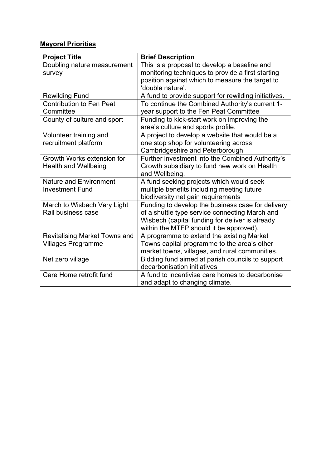## **Mayoral Priorities**

| <b>Project Title</b>                 | <b>Brief Description</b>                             |
|--------------------------------------|------------------------------------------------------|
| Doubling nature measurement          | This is a proposal to develop a baseline and         |
| survey                               | monitoring techniques to provide a first starting    |
|                                      | position against which to measure the target to      |
|                                      | 'double nature'.                                     |
| <b>Rewilding Fund</b>                | A fund to provide support for rewilding initiatives. |
| <b>Contribution to Fen Peat</b>      | To continue the Combined Authority's current 1-      |
| Committee                            | year support to the Fen Peat Committee               |
| County of culture and sport          | Funding to kick-start work on improving the          |
|                                      | area's culture and sports profile.                   |
| Volunteer training and               | A project to develop a website that would be a       |
| recruitment platform                 | one stop shop for volunteering across                |
|                                      | Cambridgeshire and Peterborough                      |
| Growth Works extension for           | Further investment into the Combined Authority's     |
| <b>Health and Wellbeing</b>          | Growth subsidiary to fund new work on Health         |
|                                      | and Wellbeing.                                       |
| <b>Nature and Environment</b>        | A fund seeking projects which would seek             |
| <b>Investment Fund</b>               | multiple benefits including meeting future           |
|                                      | biodiversity net gain requirements                   |
| March to Wisbech Very Light          | Funding to develop the business case for delivery    |
| Rail business case                   | of a shuttle type service connecting March and       |
|                                      | Wisbech (capital funding for deliver is already      |
|                                      | within the MTFP should it be approved).              |
| <b>Revitalising Market Towns and</b> | A programme to extend the existing Market            |
| <b>Villages Programme</b>            | Towns capital programme to the area's other          |
|                                      | market towns, villages, and rural communities.       |
| Net zero village                     | Bidding fund aimed at parish councils to support     |
|                                      | decarbonisation initiatives                          |
| Care Home retrofit fund              | A fund to incentivise care homes to decarbonise      |
|                                      | and adapt to changing climate.                       |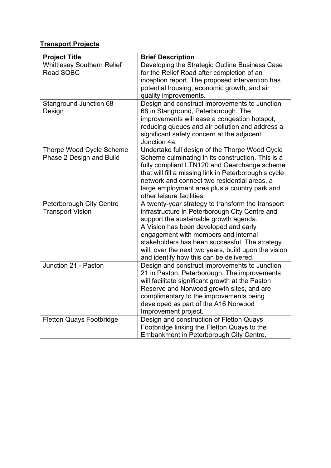## **Transport Projects**

| <b>Project Title</b>                                        | <b>Brief Description</b>                                                                                                                                                                                                                                                                                                                                                            |
|-------------------------------------------------------------|-------------------------------------------------------------------------------------------------------------------------------------------------------------------------------------------------------------------------------------------------------------------------------------------------------------------------------------------------------------------------------------|
| <b>Whittlesey Southern Relief</b><br>Road SOBC              | Developing the Strategic Outline Business Case<br>for the Relief Road after completion of an<br>inception report. The proposed intervention has<br>potential housing, economic growth, and air<br>quality improvements.                                                                                                                                                             |
| <b>Stanground Junction 68</b><br>Design                     | Design and construct improvements to Junction<br>68 in Stanground, Peterborough. The<br>improvements will ease a congestion hotspot,<br>reducing queues and air pollution and address a<br>significant safety concern at the adjacent<br>Junction 4a.                                                                                                                               |
| <b>Thorpe Wood Cycle Scheme</b><br>Phase 2 Design and Build | Undertake full design of the Thorpe Wood Cycle<br>Scheme culminating in its construction. This is a<br>fully compliant LTN120 and Gearchange scheme<br>that will fill a missing link in Peterborough's cycle<br>network and connect two residential areas, a<br>large employment area plus a country park and<br>other leisure facilities.                                          |
| Peterborough City Centre<br><b>Transport Vision</b>         | A twenty-year strategy to transform the transport<br>infrastructure in Peterborough City Centre and<br>support the sustainable growth agenda.<br>A Vision has been developed and early<br>engagement with members and internal<br>stakeholders has been successful. The strategy<br>will, over the next two years, build upon the vision<br>and identify how this can be delivered. |
| Junction 21 - Paston                                        | Design and construct improvements to Junction<br>21 in Paston, Peterborough. The improvements<br>will facilitate significant growth at the Paston<br>Reserve and Norwood growth sites, and are<br>complimentary to the improvements being<br>developed as part of the A16 Norwood<br>Improvement project.                                                                           |
| <b>Fletton Quays Footbridge</b>                             | Design and construction of Fletton Quays<br>Footbridge linking the Fletton Quays to the<br>Embankment in Peterborough City Centre.                                                                                                                                                                                                                                                  |